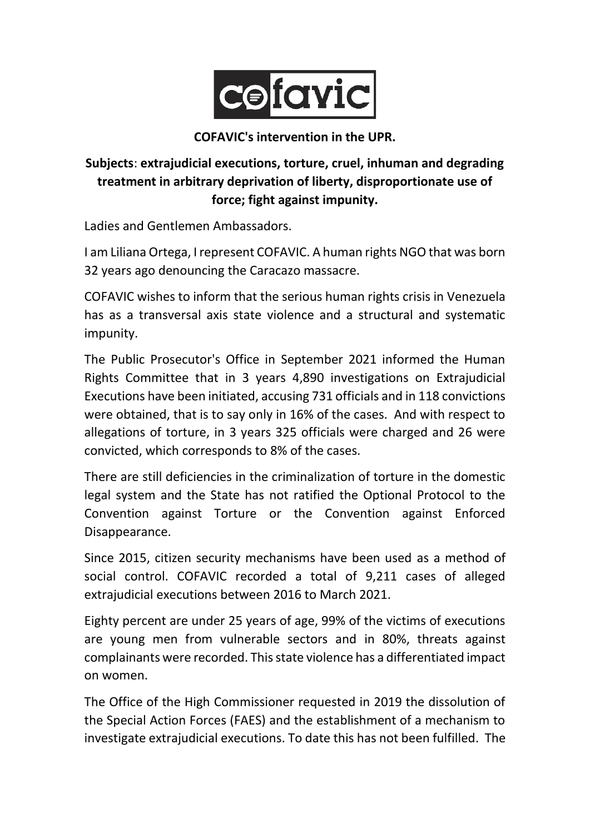

**COFAVIC's intervention in the UPR.**

## **Subjects**: **extrajudicial executions, torture, cruel, inhuman and degrading treatment in arbitrary deprivation of liberty, disproportionate use of force; fight against impunity.**

Ladies and Gentlemen Ambassadors.

I am Liliana Ortega, I represent COFAVIC. A human rights NGO that was born 32 years ago denouncing the Caracazo massacre.

COFAVIC wishes to inform that the serious human rights crisis in Venezuela has as a transversal axis state violence and a structural and systematic impunity.

The Public Prosecutor's Office in September 2021 informed the Human Rights Committee that in 3 years 4,890 investigations on Extrajudicial Executions have been initiated, accusing 731 officials and in 118 convictions were obtained, that is to say only in 16% of the cases. And with respect to allegations of torture, in 3 years 325 officials were charged and 26 were convicted, which corresponds to 8% of the cases.

There are still deficiencies in the criminalization of torture in the domestic legal system and the State has not ratified the Optional Protocol to the Convention against Torture or the Convention against Enforced Disappearance.

Since 2015, citizen security mechanisms have been used as a method of social control. COFAVIC recorded a total of 9,211 cases of alleged extrajudicial executions between 2016 to March 2021.

Eighty percent are under 25 years of age, 99% of the victims of executions are young men from vulnerable sectors and in 80%, threats against complainants were recorded. This state violence has a differentiated impact on women.

The Office of the High Commissioner requested in 2019 the dissolution of the Special Action Forces (FAES) and the establishment of a mechanism to investigate extrajudicial executions. To date this has not been fulfilled. The